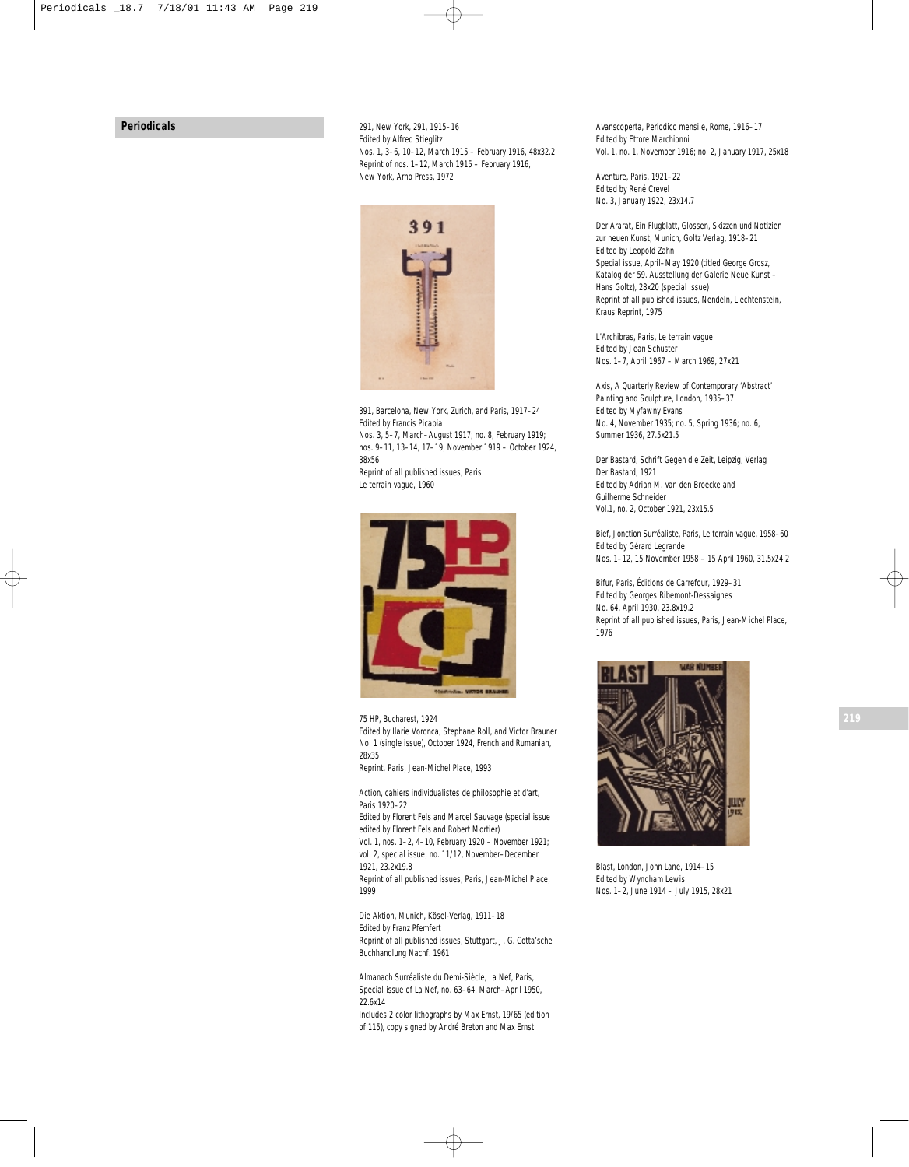## **Periodicals**

*291*, New York, 291, 1915–16 Edited by Alfred Stieglitz Nos. 1, 3–6, 10–12, March 1915 – February 1916, 48x32.2 Reprint of nos. 1–12, March 1915 – February 1916, New York, Arno Press, 1972



*391*, Barcelona, New York, Zurich, and Paris, 1917–24 Edited by Francis Picabia Nos. 3, 5–7, March–August 1917; no. 8, February 1919; nos. 9–11, 13–14, 17–19, November 1919 – October 1924, 38x56 Reprint of all published issues, Paris Le terrain vague, 1960



*75 HP*, Bucharest, 1924 Edited by Ilarie Voronca, Stephane Roll, and Victor Brauner No. 1 (single issue), October 1924, French and Rumanian, 28x35 Reprint, Paris, Jean-Michel Place, 1993

*Action, cahiers individualistes de philosophie et d'art*,

Paris 1920–22 Edited by Florent Fels and Marcel Sauvage (special issue edited by Florent Fels and Robert Mortier)

Vol. 1, nos. 1–2, 4–10, February 1920 – November 1921; vol. 2, special issue, no. 11/12, November–December 1921, 23.2x19.8

Reprint of all published issues, Paris, Jean-Michel Place, 1999

*Die Aktion*, Munich, Kösel-Verlag, 1911–18 Edited by Franz Pfemfert Reprint of all published issues, Stuttgart, J. G. Cotta'sche Buchhandlung Nachf. 1961

*Almanach Surréaliste du Demi-Siècle*, *La Nef,* Paris, Special issue of *La Nef*, no. 63–64, March–April 1950, 22.6x14

Includes 2 color lithographs by Max Ernst, 19/65 (edition of 115), copy signed by André Breton and Max Ernst

*Avanscoperta*, *Periodico mensile*, Rome, 1916–17 Edited by Ettore Marchionni Vol. 1, no. 1, November 1916; no. 2, January 1917, 25x18

*Aventure*, Paris, 1921–22 Edited by René Crevel No. 3, January 1922, 23x14.7

*Der Ararat, Ein Flugblatt*, *Glossen, Skizzen und Notizien zur neuen Kunst,* Munich, Goltz Verlag, 1918–21 Edited by Leopold Zahn Special issue, April–May 1920 (titled *George Grosz, Katalog der 59. Ausstellung der Galerie Neue Kunst – Hans Goltz*), 28x20 (special issue) Reprint of all published issues, Nendeln, Liechtenstein, Kraus Reprint, 1975

*L'Archibras*, Paris, Le terrain vague Edited by Jean Schuster Nos. 1–7, April 1967 – March 1969, 27x21

*Axis*, *A Quarterly Review of Contemporary 'Abstract' Painting and Sculpture*, London, 1935–37 Edited by Myfawny Evans No. 4, November 1935; no. 5, Spring 1936; no. 6, Summer 1936, 27.5x21.5

*Der Bastard*, *Schrift Gegen die Zeit*, Leipzig, Verlag Der Bastard, 1921 Edited by Adrian M. van den Broecke and Guilherme Schneider Vol.1, no. 2, October 1921, 23x15.5

*Bief, Jonction Surréaliste*, Paris, Le terrain vague, 1958–60 Edited by Gérard Legrande Nos. 1–12, 15 November 1958 – 15 April 1960, 31.5x24.2

*Bifur*, Paris, Éditions de Carrefour, 1929–31 Edited by Georges Ribemont-Dessaignes No. 64, April 1930, 23.8x19.2 Reprint of all published issues, Paris, Jean-Michel Place, 1976



*Blast*, London, John Lane, 1914–15 Edited by Wyndham Lewis Nos. 1–2, June 1914 – July 1915, 28x21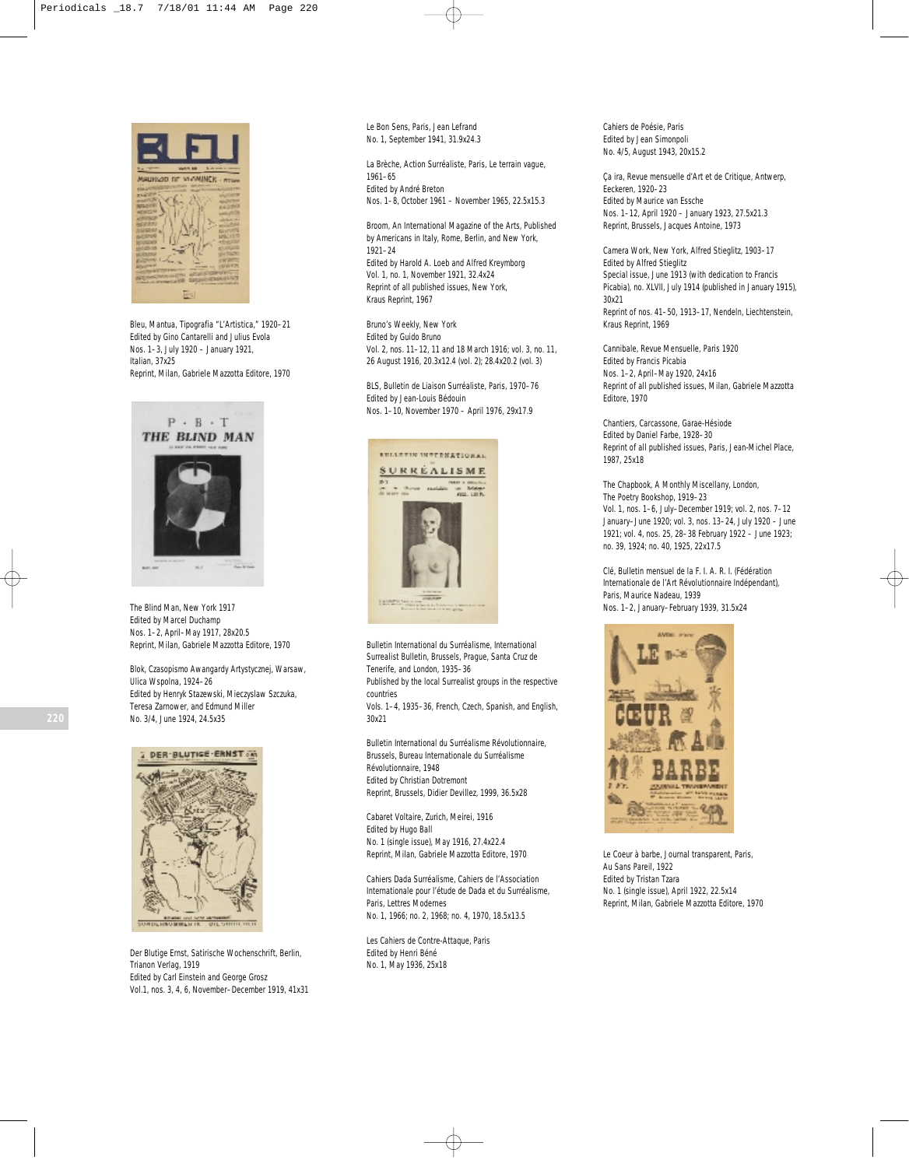

*Bleu*, Mantua, Tipografia "L'Artistica," 1920–21 Edited by Gino Cantarelli and Julius Evola Nos. 1–3, July 1920 – January 1921, Italian, 37x25 Reprint, Milan, Gabriele Mazzotta Editore, 1970



*The Blind Man*, New York 1917 Edited by Marcel Duchamp Nos. 1–2, April–May 1917, 28x20.5 Reprint, Milan, Gabriele Mazzotta Editore, 1970

*Blok, Czasopismo Awangardy Artystycznej*, Warsaw, Ulica Wspolna, 1924–26 Edited by Henryk Stazewski, Mieczyslaw Szczuka, Teresa Zarnower, and Edmund Miller No. 3/4, June 1924, 24.5x35



*Der Blutige Ernst*, *Satirische Wochenschrift*, Berlin, Trianon Verlag, 1919 Edited by Carl Einstein and George Grosz Vol.1, nos. 3, 4, 6, November–December 1919, 41x31 *Le Bon Sens*, Paris, Jean Lefrand No. 1, September 1941, 31.9x24.3

*La Brèche, Action Surréaliste*, Paris, Le terrain vague, 1961–65 Edited by André Breton Nos. 1–8, October 1961 – November 1965, 22.5x15.3

*Broom*, *An International Magazine of the Arts, Published by Americans in Italy,* Rome, Berlin, and New York, 1921–24 Edited by Harold A. Loeb and Alfred Kreymborg Vol. 1, no. 1, November 1921, 32.4x24 Reprint of all published issues, New York, Kraus Reprint, 1967

*Bruno's Weekly*, New York Edited by Guido Bruno Vol. 2, nos. 11–12, 11 and 18 March 1916; vol. 3, no. 11, 26 August 1916, 20.3x12.4 (vol. 2); 28.4x20.2 (vol. 3)

*BLS, Bulletin de Liaison Surréaliste,* Paris, 1970–76 Edited by Jean-Louis Bédouin Nos. 1–10, November 1970 – April 1976, 29x17.9



*Bulletin International du Surréalisme*, *International Surrealist Bulletin*, Brussels, Prague, Santa Cruz de Tenerife, and London, 1935–36

Published by the local Surrealist groups in the respective countries

Vols. 1–4, 1935–36, French, Czech, Spanish, and English, 30x21

*Bulletin International du Surréalisme Révolutionnaire*, Brussels, Bureau Internationale du Surréalisme Révolutionnaire, 1948 Edited by Christian Dotremont Reprint, Brussels, Didier Devillez, 1999, 36.5x28

*Cabaret Voltaire*, Zurich, Meirei, 1916 Edited by Hugo Ball No. 1 (single issue), May 1916, 27.4x22.4 Reprint, Milan, Gabriele Mazzotta Editore, 1970

*Cahiers Dada Surréalisme, Cahiers de l'Association Internationale pour l'étude de Dada et du Surréalisme,* Paris, Lettres Modernes No. 1, 1966; no. 2, 1968; no. 4, 1970, 18.5x13.5

*Les Cahiers de Contre-Attaque*, Paris Edited by Henri Béné No. 1, May 1936, 25x18

*Cahiers de Poésie*, Paris Edited by Jean Simonpoli No. 4/5, August 1943, 20x15.2

Ça ira, *Revue mensuelle d'Art et de Critique,* Antwerp, Eeckeren, 1920–23 Edited by Maurice van Essche Nos. 1–12, April 1920 – January 1923, 27.5x21.3 Reprint, Brussels, Jacques Antoine, 1973

*Camera Work*, New York, Alfred Stieglitz, 1903–17 Edited by Alfred Stieglitz Special issue, June 1913 (with dedication to Francis Picabia), no. XLVII, July 1914 (published in January 1915), 30x21 Reprint of nos. 41–50, 1913–17, Nendeln, Liechtenstein, Kraus Reprint, 1969

*Cannibale*, *Revue Mensuelle*, Paris 1920 Edited by Francis Picabia Nos. 1–2, April–May 1920, 24x16 Reprint of all published issues, Milan, Gabriele Mazzotta Editore, 1970

*Chantiers*, Carcassone, Garae-Hésiode Edited by Daniel Farbe, 1928–30 Reprint of all published issues, Paris, Jean-Michel Place, 1987, 25x18

*The Chapbook*, *A Monthly Miscellany*, London, The Poetry Bookshop, 1919–23 Vol. 1, nos. 1–6, July–December 1919; vol. 2, nos. 7–12 January–June 1920; vol. 3, nos. 13–24, July 1920 – June 1921; vol. 4, nos. 25, 28–38 February 1922 – June 1923; no. 39, 1924; no. 40, 1925, 22x17.5

*Clé, Bulletin mensuel de la F. I. A. R. I. (Fédération Internationale de l'Art Révolutionnaire Indépendant)*, Paris, Maurice Nadeau, 1939 Nos. 1–2, January–February 1939, 31.5x24



*Le Coeur à barbe, Journal transparent*, Paris, Au Sans Pareil, 1922 Edited by Tristan Tzara No. 1 (single issue), April 1922, 22.5x14 Reprint, Milan, Gabriele Mazzotta Editore, 1970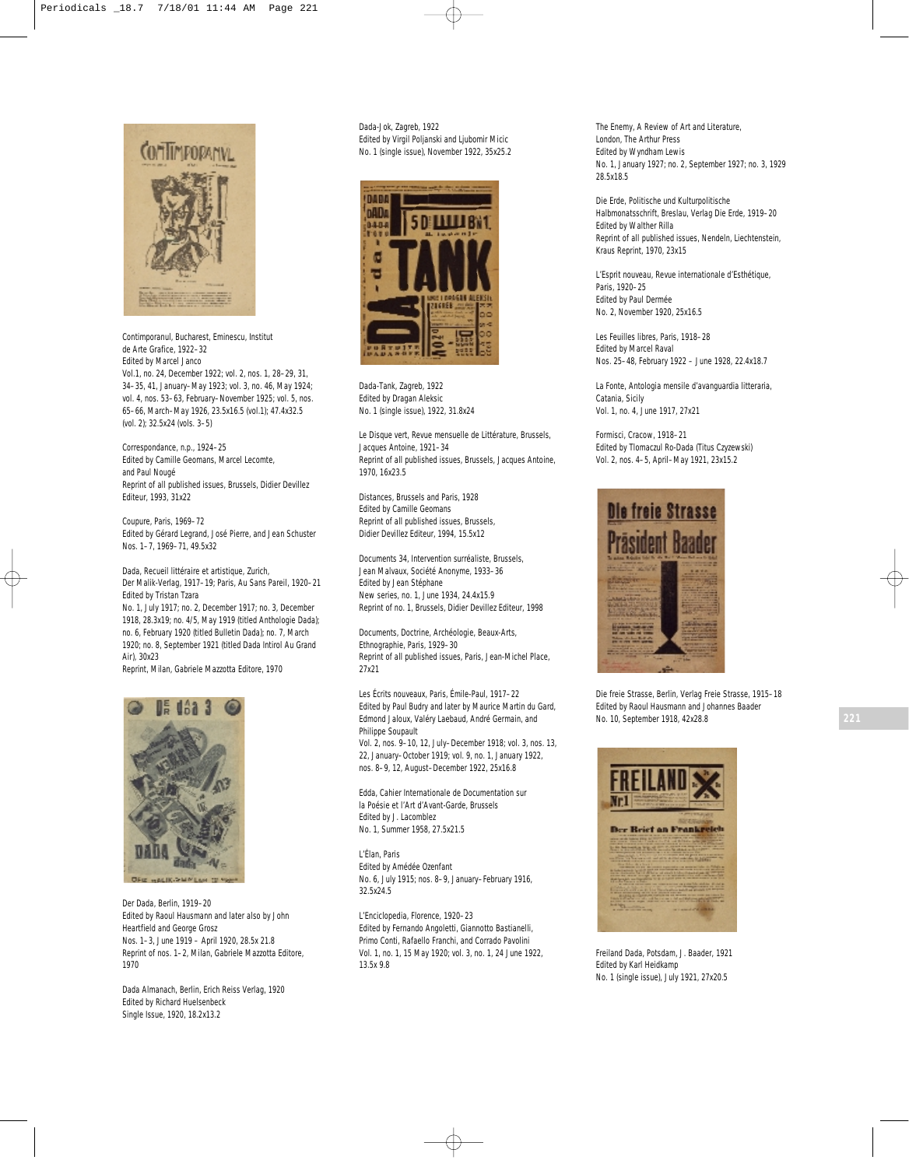

*Contimporanul*, Bucharest, Eminescu, Institut de Arte Grafice, 1922–32 Edited by Marcel Janco Vol.1, no. 24, December 1922; vol. 2, nos. 1, 28–29, 31, 34–35, 41, January–May 1923; vol. 3, no. 46, May 1924; vol. 4, nos. 53–63, February–November 1925; vol. 5, nos. 65–66, March–May 1926, 23.5x16.5 (vol.1); 47.4x32.5 (vol. 2); 32.5x24 (vols. 3–5)

*Correspondance*, n.p., 1924–25 Edited by Camille Geomans, Marcel Lecomte, and Paul Nougé Reprint of all published issues, Brussels, Didier Devillez Editeur, 1993, 31x22

*Coupure*, Paris, 1969–72 Edited by Gérard Legrand, José Pierre, and Jean Schuster Nos. 1–7, 1969–71, 49.5x32

*Dada*, *Recueil littéraire et artistique*, Zurich, Der Malik-Verlag, 1917–19; Paris, Au Sans Pareil, 1920–21 Edited by Tristan Tzara No. 1, July 1917; no. 2, December 1917; no. 3, December

1918, 28.3x19; no. 4/5, May 1919 (titled *Anthologie Dada*); no. 6, February 1920 (titled Bulletin Dada); no. 7, March 1920; no. 8, September 1921 (titled *Dada Intirol Au Grand Air*), 30x23

Reprint, Milan, Gabriele Mazzotta Editore, 1970



*Der Dada*, Berlin, 1919–20 Edited by Raoul Hausmann and later also by John Heartfield and George Grosz Nos. 1–3, June 1919 – April 1920, 28.5x 21.8 Reprint of nos. 1–2, Milan, Gabriele Mazzotta Editore, 1970

*Dada Almanach*, Berlin, Erich Reiss Verlag, 1920 Edited by Richard Huelsenbeck Single Issue, 1920, 18.2x13.2

*Dada-Jok*, Zagreb, 1922 Edited by Virgil Poljanski and Ljubomir Micic No. 1 (single issue), November 1922, 35x25.2



*Dada-Tank*, Zagreb, 1922 Edited by Dragan Aleksic No. 1 (single issue), 1922, 31.8x24

*Le Disque vert*, *Revue mensuelle de Littérature*, Brussels, Jacques Antoine, 1921–34 Reprint of all published issues, Brussels, Jacques Antoine, 1970, 16x23.5

*Distances*, Brussels and Paris, 1928 Edited by Camille Geomans Reprint of all published issues, Brussels, Didier Devillez Editeur, 1994, 15.5x12

*Documents 34*, *Intervention surréaliste,* Brussels, Jean Malvaux, Société Anonyme, 1933–36 Edited by Jean Stéphane New series, no. 1, June 1934, 24.4x15.9 Reprint of no. 1, Brussels, Didier Devillez Editeur, 1998

*Documents, Doctrine, Archéologie, Beaux-Arts, Ethnographie*, Paris, 1929–30 Reprint of all published issues, Paris, Jean-Michel Place, 27x21

*Les Écrits nouveaux,* Paris, Émile-Paul, 1917–22 Edited by Paul Budry and later by Maurice Martin du Gard, Edmond Jaloux, Valéry Laebaud, André Germain, and Philippe Soupault

Vol. 2, nos. 9–10, 12, July–December 1918; vol. 3, nos. 13, 22, January–October 1919; vol. 9, no. 1, January 1922, nos. 8–9, 12, August–December 1922, 25x16.8

*Edda, Cahier Internationale de Documentation sur la Poésie et l'Art d'Avant-Garde*, Brussels Edited by J. Lacomblez No. 1, Summer 1958, 27.5x21.5

*L'Élan*, Paris Edited by Amédée Ozenfant No. 6, July 1915; nos. 8–9, January–February 1916, 32.5x24.5

*L'Enciclopedia,* Florence, 1920–23 Edited by Fernando Angoletti, Giannotto Bastianelli, Primo Conti, Rafaello Franchi, and Corrado Pavolini Vol. 1, no. 1, 15 May 1920; vol. 3, no. 1, 24 June 1922, 13.5x 9.8

*The Enemy, A Review of Art and Literature*, London, The Arthur Press Edited by Wyndham Lewis No. 1, January 1927; no. 2, September 1927; no. 3, 1929 28.5x18.5

*Die Erde*, *Politische und Kulturpolitische Halbmonatsschrift*, Breslau, Verlag Die Erde, 1919–20 Edited by Walther Rilla Reprint of all published issues, Nendeln, Liechtenstein, Kraus Reprint, 1970, 23x15

*L'Esprit nouveau, Revue internationale d'Esthétique*, Paris, 1920–25 Edited by Paul Dermée No. 2, November 1920, 25x16.5

*Les Feuilles libres*, Paris, 1918–28 Edited by Marcel Raval Nos. 25–48, February 1922 – June 1928, 22.4x18.7

*La Fonte, Antologia mensile d'avanguardia litteraria*, Catania, Sicily Vol. 1, no. 4, June 1917, 27x21

*Formisci*, Cracow, 1918–21 Edited by Tlomaczul Ro-Dada (Titus Czyzewski) Vol. 2, nos. 4–5, April–May 1921, 23x15.2



*Die freie Strasse,* Berlin, Verlag Freie Strasse, 1915–18 Edited by Raoul Hausmann and Johannes Baader No. 10, September 1918, 42x28.8



*Freiland Dada*, Potsdam, J. Baader, 1921 Edited by Karl Heidkamp No. 1 (single issue), July 1921, 27x20.5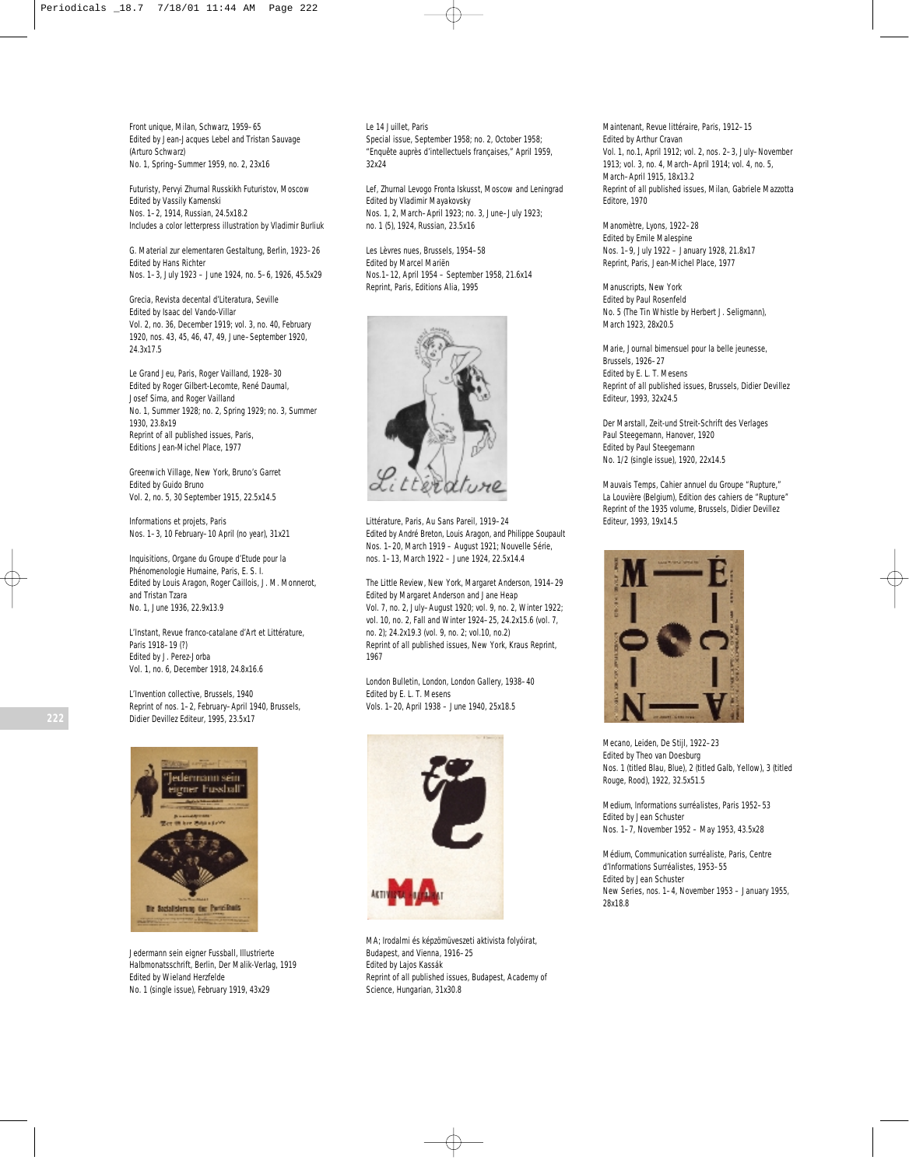*Front unique*, Milan, Schwarz, 1959–65 Edited by Jean-Jacques Lebel and Tristan Sauvage (Arturo Schwarz) No. 1, Spring–Summer 1959, no. 2, 23x16

Futuristy, Pervyi Zhurnal Russkikh Futuristov, Moscow Edited by Vassily Kamenski Nos. 1–2, 1914, Russian, 24.5x18.2 Includes a color letterpress illustration by Vladimir Burliuk

*G. Material zur elementaren Gestaltung*, Berlin, 1923–26 Edited by Hans Richter Nos. 1–3, July 1923 – June 1924, no. 5–6, 1926, 45.5x29

*Grecia, Revista decental d'Literatura*, Seville Edited by Isaac del Vando-Villar Vol. 2, no. 36, December 1919; vol. 3, no. 40, February 1920, nos. 43, 45, 46, 47, 49, June–September 1920, 24.3x17.5

*Le Grand Jeu*, Paris, Roger Vailland, 1928–30 Edited by Roger Gilbert-Lecomte, René Daumal, Josef Sima, and Roger Vailland No. 1, Summer 1928; no. 2, Spring 1929; no. 3, Summer 1930, 23.8x19 Reprint of all published issues, Paris, Editions Jean-Michel Place, 1977

*Greenwich Village*, New York, Bruno's Garret Edited by Guido Bruno Vol. 2, no. 5, 30 September 1915, 22.5x14.5

*Informations et projets*, Paris Nos. 1–3, 10 February–10 April (no year), 31x21

*Inquisitions, Organe du Groupe d'Etude pour la Phénomenologie Humaine*, Paris, E. S. I. Edited by Louis Aragon, Roger Caillois, J. M. Monnerot, and Tristan Tzara No. 1, June 1936, 22.9x13.9

*L'Instant, Revue franco-catalane d'Art et Littérature*, Paris 1918–19 (?) Edited by J. Perez-Jorba Vol. 1, no. 6, December 1918, 24.8x16.6

*L'Invention collective*, Brussels, 1940 Reprint of nos. 1–2, February–April 1940, Brussels, Didier Devillez Editeur, 1995, 23.5x17



*Jedermann sein eigner Fussball, Illustrierte Halbmonatsschrift*, Berlin, Der Malik-Verlag, 1919 Edited by Wieland Herzfelde No. 1 (single issue), February 1919, 43x29

*Le 14 Juillet*, Paris Special issue, September 1958; no. 2, October 1958; "Enquête auprès d'intellectuels françaises," April 1959, 32x24

*Lef, Zhurnal Levogo Fronta Iskusst*, Moscow and Leningrad Edited by Vladimir Mayakovsky Nos. 1, 2, March–April 1923; no. 3, June–July 1923; no. 1 (5), 1924, Russian, 23.5x16

*Les Lèvres nues*, Brussels, 1954–58 Edited by Marcel Mariën Nos.1–12, April 1954 – September 1958, 21.6x14 Reprint, Paris, Editions Alia, 1995



*Littérature*, Paris, Au Sans Pareil, 1919–24 Edited by André Breton, Louis Aragon, and Philippe Soupault Nos. 1–20, March 1919 – August 1921; Nouvelle Série, nos. 1–13, March 1922 – June 1924, 22.5x14.4

*The Little Review*, New York, Margaret Anderson, 1914–29 Edited by Margaret Anderson and Jane Heap Vol. 7, no. 2, July–August 1920; vol. 9, no. 2, Winter 1922; vol. 10, no. 2, Fall and Winter 1924–25, 24.2x15.6 (vol. 7, no. 2); 24.2x19.3 (vol. 9, no. 2; vol.10, no.2) Reprint of all published issues, New York, Kraus Reprint, 1967

*London Bulletin*, London, London Gallery, 1938–40 Edited by E. L. T. Mesens Vols. 1–20, April 1938 – June 1940, 25x18.5



*MA; Irodalmi és képzömüveszeti aktivista folyóirat*, Budapest, and Vienna, 1916–25 Edited by Lajos Kassák Reprint of all published issues, Budapest, Academy of Science, Hungarian, 31x30.8

*Maintenant*, *Revue littéraire*, Paris, 1912–15 Edited by Arthur Cravan Vol. 1, no.1, April 1912; vol. 2, nos. 2–3, July–November 1913; vol. 3, no. 4, March–April 1914; vol. 4, no. 5, March–April 1915, 18x13.2 Reprint of all published issues, Milan, Gabriele Mazzotta Editore, 1970

*Manomètre*, Lyons, 1922–28 Edited by Emile Malespine Nos. 1–9, July 1922 – January 1928, 21.8x17 Reprint, Paris, Jean-Michel Place, 1977

*Manuscripts*, New York Edited by Paul Rosenfeld No. 5 (*The Tin Whistle* by Herbert J. Seligmann), March 1923, 28x20.5

*Marie, Journal bimensuel pour la belle jeunesse*, Brussels, 1926–27 Edited by E. L. T. Mesens Reprint of all published issues, Brussels, Didier Devillez Editeur, 1993, 32x24.5

*Der Marstall*, *Zeit-und Streit-Schrift des Verlages Paul Steegemann*, Hanover, 1920 Edited by Paul Steegemann No. 1/2 (single issue), 1920, 22x14.5

*Mauvais Temps*, *Cahier annuel du Groupe "Rupture,"* La Louvière (Belgium), Edition des cahiers de "Rupture" Reprint of the 1935 volume, Brussels, Didier Devillez Editeur, 1993, 19x14.5



*Mecano*, Leiden, De Stijl, 1922–23 Edited by Theo van Doesburg Nos. 1 (titled *Blau, Blue*), 2 (titled *Galb, Yellow*), 3 (titled *Rouge, Rood*), 1922, 32.5x51.5

*Medium, Informations surréalistes*, Paris 1952–53 Edited by Jean Schuster Nos. 1–7, November 1952 – May 1953, 43.5x28

*Médium, Communication surréaliste*, Paris, Centre d'Informations Surréalistes, 1953–55 Edited by Jean Schuster New Series, nos. 1–4, November 1953 – January 1955, 28x18.8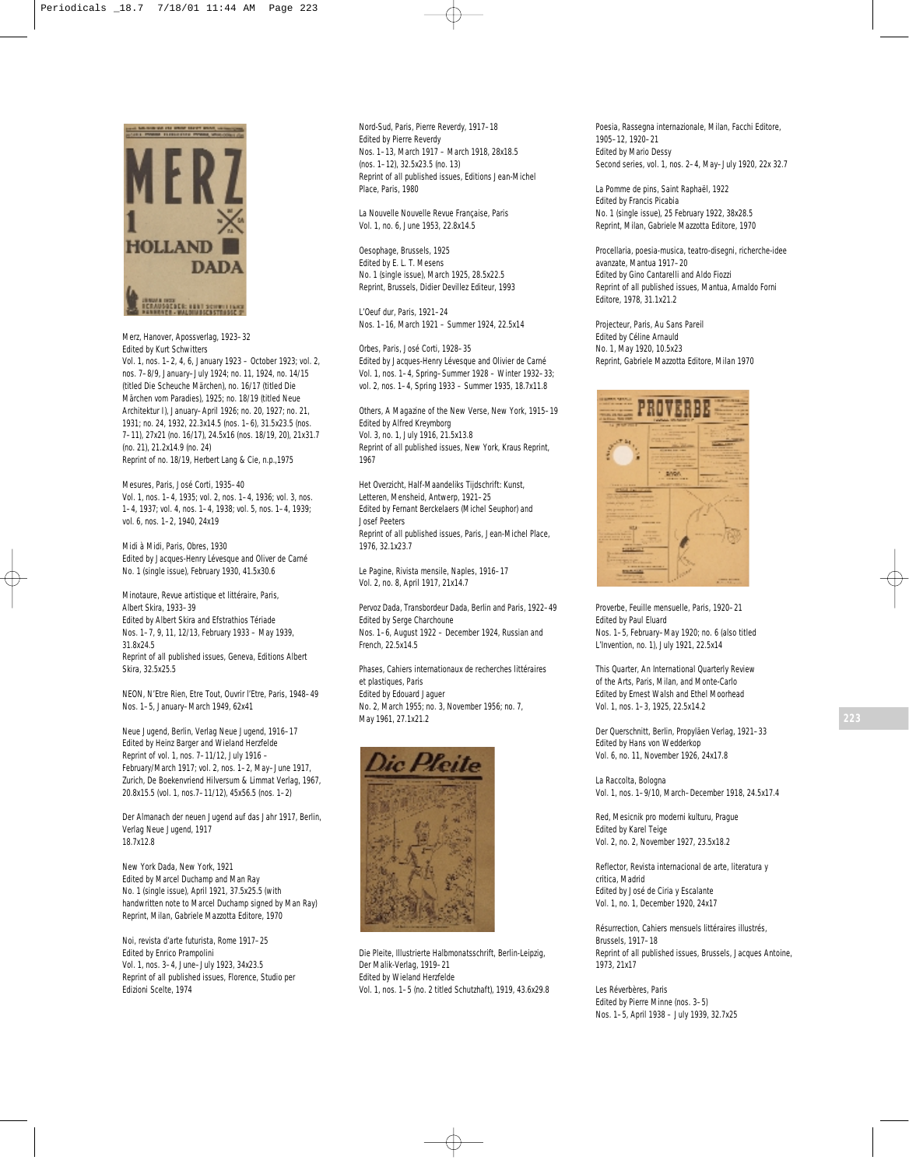

*Merz*, Hanover, Apossverlag, 1923–32 Edited by Kurt Schwitters

Vol. 1, nos. 1–2, 4, 6, January 1923 – October 1923; vol. 2, nos. 7–8/9, January–July 1924; no. 11, 1924, no. 14/15 (titled *Die Scheuche Märchen),* no. 16/17 (titled *Die Märchen vom Paradies*), 1925; no. 18/19 (titled *Neue Architektur I*), January–April 1926; no. 20, 1927; no. 21, 1931; no. 24, 1932, 22.3x14.5 (nos. 1–6), 31.5x23.5 (nos. 7–11), 27x21 (no. 16/17), 24.5x16 (nos. 18/19, 20), 21x31.7 (no. 21), 21.2x14.9 (no. 24) Reprint of no. 18/19, Herbert Lang & Cie, n.p.,1975

*Mesures*, Paris, José Corti, 1935–40 Vol. 1, nos. 1–4, 1935; vol. 2, nos. 1–4, 1936; vol. 3, nos. 1–4, 1937; vol. 4, nos. 1–4, 1938; vol. 5, nos. 1–4, 1939; vol. 6, nos. 1–2, 1940, 24x19

Midi à Midi, Paris, Obres, 1930 Edited by Jacques-Henry Lévesque and Oliver de Carné No. 1 (single issue), February 1930, 41.5x30.6

*Minotaure*, *Revue artistique et littéraire*, Paris, Albert Skira, 1933–39 Edited by Albert Skira and Efstrathios Tériade Nos. 1–7, 9, 11, 12/13, February 1933 – May 1939, 31.8x24.5 Reprint of all published issues, Geneva, Editions Albert Skira, 32.5x25.5

*NEON, N'Etre Rien, Etre Tout, Ouvrir l'Etre*, Paris, 1948–49 Nos. 1–5, January–March 1949, 62x41

*Neue Jugend,* Berlin, Verlag Neue Jugend, 1916–17 Edited by Heinz Barger and Wieland Herzfelde Reprint of vol. 1, nos. 7–11/12, July 1916 – February/March 1917; vol. 2, nos. 1–2, May–June 1917, Zurich, De Boekenvriend Hilversum & Limmat Verlag, 1967, 20.8x15.5 (vol. 1, nos.7–11/12), 45x56.5 (nos. 1–2)

*Der Almanach der neuen Jugend auf das Jahr 1917*, Berlin, Verlag Neue Jugend, 1917 18.7x12.8

*New York Dada*, New York, 1921 Edited by Marcel Duchamp and Man Ray No. 1 (single issue), April 1921, 37.5x25.5 (with handwritten note to Marcel Duchamp signed by Man Ray) Reprint, Milan, Gabriele Mazzotta Editore, 1970

*Noi, revista d'arte futurista*, Rome 1917–25 Edited by Enrico Prampolini Vol. 1, nos. 3–4, June–July 1923, 34x23.5 Reprint of all published issues, Florence, Studio per Edizioni Scelte, 1974

*Nord-Sud*, Paris, Pierre Reverdy, 1917–18 Edited by Pierre Reverdy Nos. 1–13, March 1917 – March 1918, 28x18.5 (nos. 1–12), 32.5x23.5 (no. 13) Reprint of all published issues, Editions Jean-Michel Place, Paris, 1980

*La Nouvelle Nouvelle Revue Française,* Paris Vol. 1, no. 6, June 1953, 22.8x14.5

*Oesophage*, Brussels, 1925 Edited by E. L. T. Mesens No. 1 (single issue), March 1925, 28.5x22.5 Reprint, Brussels, Didier Devillez Editeur, 1993

*L'Oeuf dur*, Paris, 1921–24 Nos. 1–16, March 1921 – Summer 1924, 22.5x14

*Orbes*, Paris, José Corti, 1928–35 Edited by Jacques-Henry Lévesque and Olivier de Carné Vol. 1, nos. 1–4, Spring–Summer 1928 – Winter 1932–33; vol. 2, nos. 1–4, Spring 1933 – Summer 1935, 18.7x11.8

*Others, A Magazine of the New Verse*, New York, 1915–19 Edited by Alfred Kreymborg Vol. 3, no. 1, July 1916, 21.5x13.8 Reprint of all published issues, New York, Kraus Reprint, 1967

*Het Overzicht*, *Half-Maandeliks Tijdschrift: Kunst, Letteren, Mensheid*, Antwerp, 1921–25 Edited by Fernant Berckelaers (Michel Seuphor) and Josef Peeters Reprint of all published issues, Paris, Jean-Michel Place, 1976, 32.1x23.7

*Le Pagine, Rivista mensile*, Naples, 1916–17 Vol. 2, no. 8, April 1917, 21x14.7

*Pervoz Dada, Transbordeur Dada*, Berlin and Paris, 1922–49 Edited by Serge Charchoune Nos. 1–6, August 1922 – December 1924, Russian and French, 22.5x14.5

*Phases*, *Cahiers internationaux de recherches littéraires et plastiques*, Paris Edited by Edouard Jaguer No. 2, March 1955; no. 3, November 1956; no. 7, May 1961, 27.1x21.2



*Die Pleite*, *Illustrierte Halbmonatsschrift*, Berlin-Leipzig, Der Malik-Verlag, 1919–21 Edited by Wieland Herzfelde Vol. 1, nos. 1–5 (no. 2 titled *Schutzhaft*)*,* 1919, 43.6x29.8 *Poesia*, *Rassegna internazionale*, Milan, Facchi Editore, 1905–12, 1920–21 Edited by Mario Dessy Second series, vol. 1, nos. 2–4, May–July 1920, 22x 32.7

*La Pomme de pins*, Saint Raphaël, 1922 Edited by Francis Picabia No. 1 (single issue), 25 February 1922, 38x28.5 Reprint, Milan, Gabriele Mazzotta Editore, 1970

*Procellaria, poesia-musica, teatro-disegni, richerche-idee avanzate,* Mantua 1917–20 Edited by Gino Cantarelli and Aldo Fiozzi Reprint of all published issues, Mantua, Arnaldo Forni Editore, 1978, 31.1x21.2

*Projecteur*, Paris, Au Sans Pareil Edited by Céline Arnauld No. 1, May 1920, 10.5x23 Reprint, Gabriele Mazzotta Editore, Milan 1970



*Proverbe*, *Feuille mensuelle*, Paris, 1920–21 Edited by Paul Eluard Nos. 1–5, February–May 1920; no. 6 (also titled *L'Invention,* no. 1), July 1921, 22.5x14

*This Quarter*, *An International Quarterly Review of the Arts*, Paris, Milan, and Monte-Carlo Edited by Ernest Walsh and Ethel Moorhead Vol. 1, nos. 1–3, 1925, 22.5x14.2

*Der Querschnitt*, Berlin, Propyläen Verlag, 1921–33 Edited by Hans von Wedderkop Vol. 6, no. 11, November 1926, 24x17.8

*La Raccolta*, Bologna Vol. 1, nos. 1–9/10, March–December 1918, 24.5x17.4

*Red*, *Mesicnik pro moderni kulturu*, Prague Edited by Karel Teige Vol. 2, no. 2, November 1927, 23.5x18.2

*Reflector, Revista internacional de arte, literatura y critica*, Madrid Edited by José de Ciria y Escalante Vol. 1, no. 1, December 1920, 24x17

*Résurrection*, *Cahiers mensuels littéraires illustrés*, Brussels, 1917–18 Reprint of all published issues, Brussels, Jacques Antoine, 1973, 21x17

Les Réverbères, Paris Edited by Pierre Minne (nos. 3–5) Nos. 1–5, April 1938 – July 1939, 32.7x25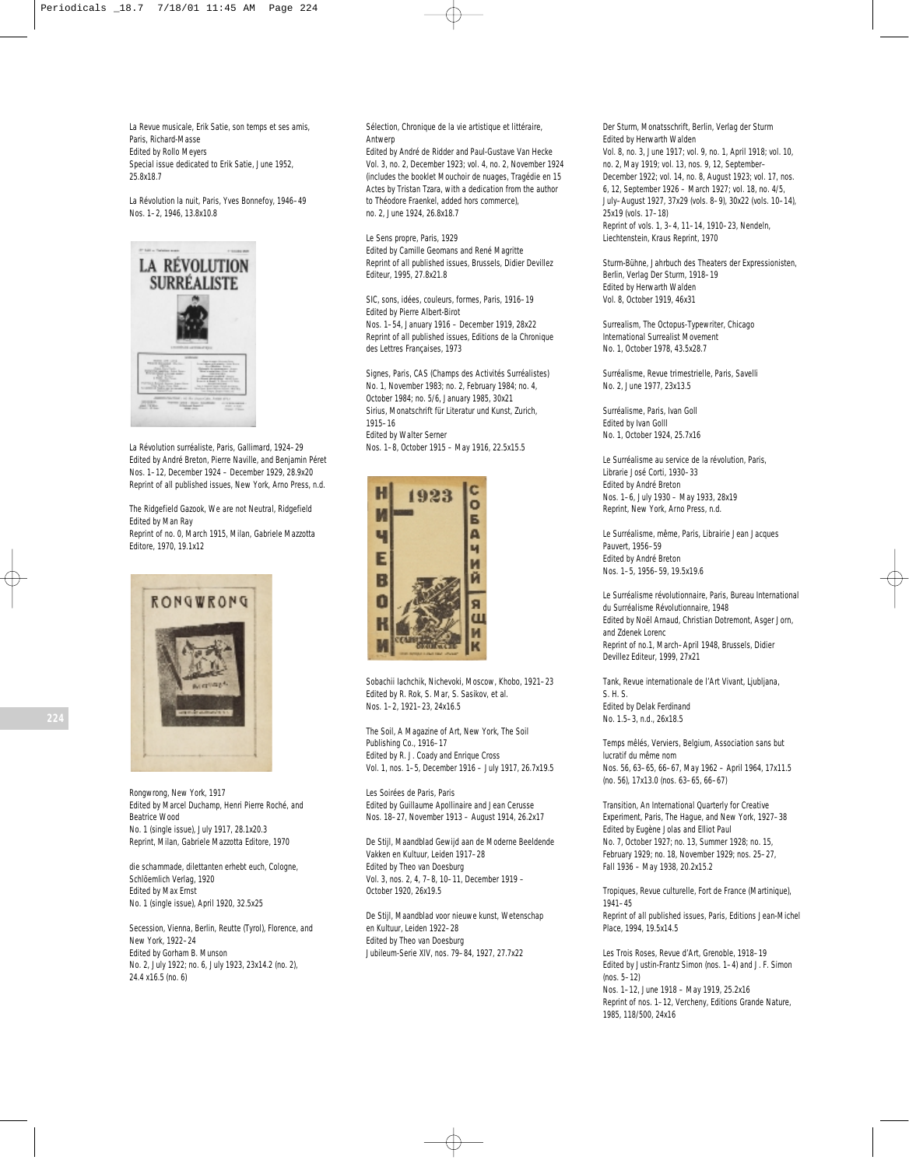*La Revue musicale, Erik Satie, son temps et ses amis*, Paris, Richard-Masse Edited by Rollo Meyers Special issue dedicated to Erik Satie, June 1952, 25.8x18.7

*La Révolution la nuit*, Paris, Yves Bonnefoy, 1946–49 Nos. 1–2, 1946, 13.8x10.8



*La Révolution surréaliste*, Paris, Gallimard, 1924–29 Edited by André Breton, Pierre Naville, and Benjamin Péret Nos. 1–12, December 1924 – December 1929, 28.9x20 Reprint of all published issues, New York, Arno Press, n.d.

*The Ridgefield Gazook, We are not Neutral*, Ridgefield Edited by Man Ray Reprint of no. 0, March 1915, Milan, Gabriele Mazzotta

Editore, 1970, 19.1x12



*Rongwrong*, New York, 1917 Edited by Marcel Duchamp, Henri Pierre Roché, and Beatrice Wood No. 1 (single issue), July 1917, 28.1x20.3 Reprint, Milan, Gabriele Mazzotta Editore, 1970

*die schammade, dilettanten erhebt euch,* Cologne, Schlöemlich Verlag, 1920 Edited by Max Ernst No. 1 (single issue), April 1920, 32.5x25

*Secession*, Vienna, Berlin, Reutte (Tyrol), Florence, and New York, 1922–24 Edited by Gorham B. Munson No. 2, July 1922; no. 6, July 1923, 23x14.2 (no. 2), 24.4 x16.5 (no. 6)

*Sélection*, *Chronique de la vie artistique et littéraire*, Antwerp

Edited by André de Ridder and Paul-Gustave Van Hecke Vol. 3, no. 2, December 1923; vol. 4, no. 2, November 1924 (includes the booklet *Mouchoir de nuages, Tragédie en 15 Actes* by Tristan Tzara, with a dedication from the author to Théodore Fraenkel, added hors commerce), no. 2, June 1924, 26.8x18.7

*Le Sens propre*, Paris, 1929 Edited by Camille Geomans and René Magritte Reprint of all published issues, Brussels, Didier Devillez Editeur, 1995, 27.8x21.8

*SIC, sons, idées, couleurs, formes*, Paris, 1916–19 Edited by Pierre Albert-Birot Nos. 1–54, January 1916 – December 1919, 28x22 Reprint of all published issues, Editions de la Chronique des Lettres Françaises, 1973

*Signes*, Paris, CAS (Champs des Activités Surréalistes) No. 1, November 1983; no. 2, February 1984; no. 4, October 1984; no. 5/6, January 1985, 30x21 *Sirius*, *Monatschrift für Literatur und Kunst*, Zurich, 1915–16 Edited by Walter Serner Nos. 1–8, October 1915 – May 1916, 22.5x15.5



*Sobachii Iachchik, Nichevoki,* Moscow, Khobo, 1921–23 Edited by R. Rok, S. Mar, S. Sasikov, et al. Nos. 1–2, 1921–23, 24x16.5

*The Soil*, *A Magazine of Art*, New York, The Soil Publishing Co., 1916–17 Edited by R. J. Coady and Enrique Cross Vol. 1, nos. 1–5, December 1916 – July 1917, 26.7x19.5

*Les Soirées de Paris*, Paris Edited by Guillaume Apollinaire and Jean Cerusse Nos. 18–27, November 1913 – August 1914, 26.2x17

*De Stijl, Maandblad Gewijd aan de Moderne Beeldende Vakken en Kultuur*, Leiden 1917–28 Edited by Theo van Doesburg Vol. 3, nos. 2, 4, 7–8, 10–11, December 1919 – October 1920, 26x19.5

*De Stijl, Maandblad voor nieuwe kunst*, *Wetenschap en Kultuur*, Leiden 1922–28 Edited by Theo van Doesburg Jubileum-Serie XIV, nos. 79–84, 1927, 27.7x22

*Der Sturm*, *Monatsschrift*, Berlin, Verlag der Sturm Edited by Herwarth Walden Vol. 8, no. 3, June 1917; vol. 9, no. 1, April 1918; vol. 10, no. 2, May 1919; vol. 13, nos. 9, 12, September– December 1922; vol. 14, no. 8, August 1923; vol. 17, nos. 6, 12, September 1926 – March 1927; vol. 18, no. 4/5, July–August 1927, 37x29 (vols. 8–9), 30x22 (vols. 10–14), 25x19 (vols. 17–18) Reprint of vols. 1, 3–4, 11–14, 1910–23, Nendeln, Liechtenstein, Kraus Reprint, 1970

*Sturm-Bühne, Jahrbuch des Theaters der Expressionisten*, Berlin, Verlag Der Sturm, 1918–19 Edited by Herwarth Walden Vol. 8, October 1919, 46x31

*Surrealism, The Octopus-Typewriter*, Chicago International Surrealist Movement No. 1, October 1978, 43.5x28.7

*Surréalisme*, *Revue trimestrielle,* Paris, Savelli No. 2, June 1977, 23x13.5

*Surréalisme*, Paris, Ivan Goll Edited by Ivan Golll No. 1, October 1924, 25.7x16

*Le Surréalisme au service de la révolution*, Paris, Librarie José Corti, 1930–33 Edited by André Breton Nos. 1–6, July 1930 – May 1933, 28x19 Reprint, New York, Arno Press, n.d.

*Le Surréalisme, même,* Paris, Librairie Jean Jacques Pauvert, 1956–59 Edited by André Breton Nos. 1–5, 1956–59, 19.5x19.6

*Le Surréalisme révolutionnaire*, Paris, Bureau International du Surréalisme Révolutionnaire, 1948 Edited by Noël Arnaud, Christian Dotremont, Asger Jorn, and Zdenek Lorenc Reprint of no.1, March–April 1948, Brussels, Didier Devillez Editeur, 1999, 27x21

*Tank, Revue internationale de l'Art Vivant,* Ljubljana, S. H. S. Edited by Delak Ferdinand No. 1.5–3, n.d., 26x18.5

*Temps mêlés*, Verviers, Belgium, Association sans but lucratif du même nom Nos. 56, 63–65, 66–67, May 1962 – April 1964, 17x11.5 (no. 56), 17x13.0 (nos. 63–65, 66–67)

*Transition*, *An International Quarterly for Creative Experiment*, Paris, The Hague, and New York, 1927–38 Edited by Eugène Jolas and Elliot Paul No. 7, October 1927; no. 13, Summer 1928; no. 15, February 1929; no. 18, November 1929; nos. 25–27, Fall 1936 – May 1938, 20.2x15.2

*Tropiques*, *Revue culturelle*, Fort de France (Martinique), 1941–45 Reprint of all published issues, Paris, Editions Jean-Michel Place, 1994, 19.5x14.5

*Les Trois Roses*, *Revue d'Art*, Grenoble, 1918–19 Edited by Justin-Frantz Simon (nos. 1–4) and J. F. Simon (nos. 5–12) Nos. 1–12, June 1918 – May 1919, 25.2x16 Reprint of nos. 1–12, Vercheny, Editions Grande Nature, 1985, 118/500, 24x16